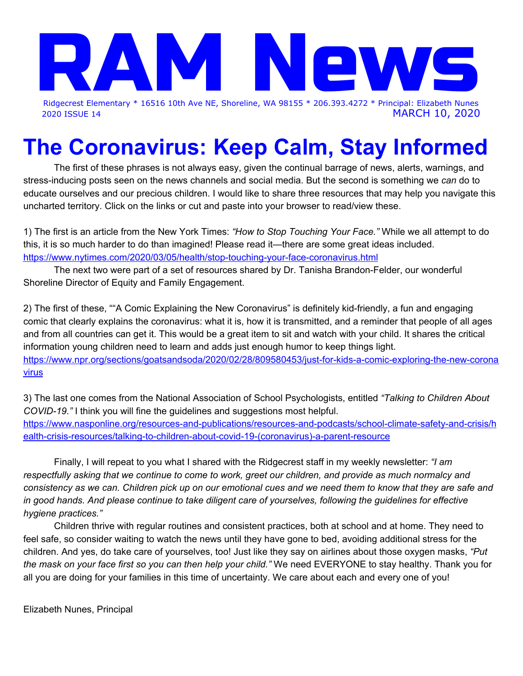

2020 ISSUE 14 MARCH 10, 2020

# **The Coronavirus: Keep Calm, Stay Informed**

The first of these phrases is not always easy, given the continual barrage of news, alerts, warnings, and stress-inducing posts seen on the news channels and social media. But the second is something we *can* do to educate ourselves and our precious children. I would like to share three resources that may help you navigate this uncharted territory. Click on the links or cut and paste into your browser to read/view these.

1) The first is an article from the New York Times: *"How to Stop Touching Your Face."* While we all attempt to do this, it is so much harder to do than imagined! Please read it—there are some great ideas included. <https://www.nytimes.com/2020/03/05/health/stop-touching-your-face-coronavirus.html>

The next two were part of a set of resources shared by Dr. Tanisha Brandon-Felder, our wonderful Shoreline Director of Equity and Family Engagement.

2) The first of these, ""A Comic Explaining the New Coronavirus" is definitely kid-friendly, a fun and engaging comic that clearly explains the coronavirus: what it is, how it is transmitted, and a reminder that people of all ages and from all countries can get it. This would be a great item to sit and watch with your child. It shares the critical information young children need to learn and adds just enough humor to keep things light. [https://www.npr.org/sections/goatsandsoda/2020/02/28/809580453/just-for-kids-a-comic-exploring-the-new-corona](https://www.npr.org/sections/goatsandsoda/2020/02/28/809580453/just-for-kids-a-comic-exploring-the-new-coronavirus) [virus](https://www.npr.org/sections/goatsandsoda/2020/02/28/809580453/just-for-kids-a-comic-exploring-the-new-coronavirus)

3) The last one comes from the National Association of School Psychologists, entitled *"Talking to Children About COVID-19."* I think you will fine the guidelines and suggestions most helpful. [https://www.nasponline.org/resources-and-publications/resources-and-podcasts/school-climate-safety-and-crisis/h](https://www.nasponline.org/resources-and-publications/resources-and-podcasts/school-climate-safety-and-crisis/health-crisis-resources/talking-to-children-about-covid-19-(coronavirus)-a-parent-resource) [ealth-crisis-resources/talking-to-children-about-covid-19-\(coronavirus\)-a-parent-resource](https://www.nasponline.org/resources-and-publications/resources-and-podcasts/school-climate-safety-and-crisis/health-crisis-resources/talking-to-children-about-covid-19-(coronavirus)-a-parent-resource)

Finally, I will repeat to you what I shared with the Ridgecrest staff in my weekly newsletter: *"I am* respectfully asking that we continue to come to work, greet our children, and provide as much normalcy and consistency as we can. Children pick up on our emotional cues and we need them to know that they are safe and in good hands. And please continue to take diligent care of yourselves, following the guidelines for effective *hygiene practices."*

Children thrive with regular routines and consistent practices, both at school and at home. They need to feel safe, so consider waiting to watch the news until they have gone to bed, avoiding additional stress for the children. And yes, do take care of yourselves, too! Just like they say on airlines about those oxygen masks, *"Put the mask on your face first so you can then help your child."* We need EVERYONE to stay healthy. Thank you for all you are doing for your families in this time of uncertainty. We care about each and every one of you!

Elizabeth Nunes, Principal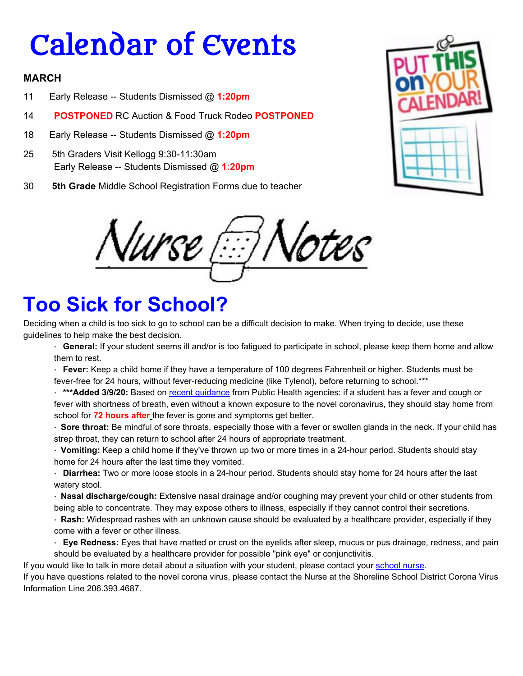# Calendar of Events

#### **MARCH**

- 11 Early Release -- Students Dismissed @ **1:20pm**
- 14 **POSTPONED** RC Auction & Food Truck Rodeo **POSTPONED**
- 18 Early Release -- Students Dismissed @ **1:20pm**
- 25 5th Graders Visit Kellogg 9:30-11:30am Early Release -- Students Dismissed @ **1:20pm**
- 30 **5th Grade** Middle School Registration Forms due to teacher



Nurse 'otes

### **Too Sick for School?**

Deciding when a child is too sick to go to school can be a difficult decision to make. When trying to decide, use these guidelines to help make the best decision.

- · **General:** If your student seems ill and/or is too fatigued to participate in school, please keep them home and allow them to rest.
- · **Fever:** Keep a child home if they have a temperature of 100 degrees Fahrenheit or higher. Students must be fever-free for 24 hours, without fever-reducing medicine (like Tylenol), before returning to school.\*\*\*
- · **\*\*\*Added 3/9/20:** Based on recent [guidance](https://www.doh.wa.gov/Portals/1/Documents/1600/coronavirus/COVIDconcerned.pdf) from Public Health agencies: if a student has a fever and cough or fever with shortness of breath, even without a known exposure to the novel coronavirus, they should stay home from school for **72 hours after** the fever is gone and symptoms get better.
- · **Sore throat:** Be mindful of sore throats, especially those with a fever or swollen glands in the neck. If your child has strep throat, they can return to school after 24 hours of appropriate treatment.
- · **Vomiting:** Keep a child home if they've thrown up two or more times in a 24-hour period. Students should stay home for 24 hours after the last time they vomited.
- · **Diarrhea:** Two or more loose stools in a 24-hour period. Students should stay home for 24 hours after the last watery stool.
- · **Nasal discharge/cough:** Extensive nasal drainage and/or coughing may prevent your child or other students from being able to concentrate. They may expose others to illness, especially if they cannot control their secretions.
- · **Rash:** Widespread rashes with an unknown cause should be evaluated by a healthcare provider, especially if they come with a fever or other illness.
- · **Eye Redness:** Eyes that have matted or crust on the eyelids after sleep, mucus or pus drainage, redness, and pain should be evaluated by a healthcare provider for possible "pink eye" or conjunctivitis.
- If you would like to talk in more detail about a situation with your student, please contact your [school](https://www.shorelineschools.org/Page/7033) nurse.
- If you have questions related to the novel corona virus, please contact the Nurse at the Shoreline School District Corona Virus Information Line 206.393.4687.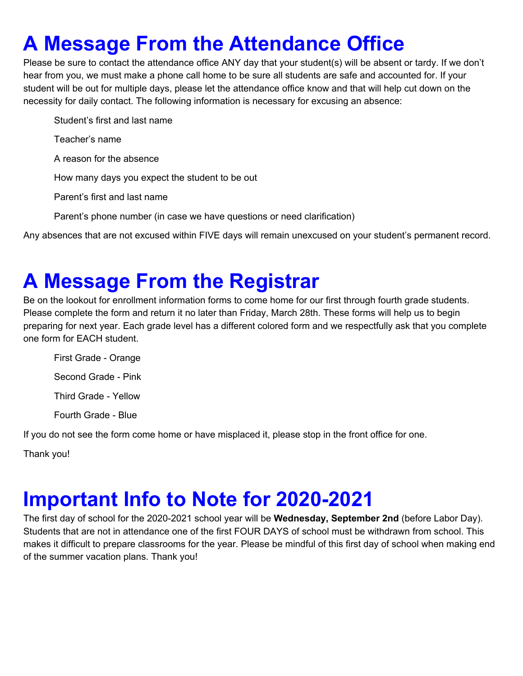## **A Message From the Attendance Office**

Please be sure to contact the attendance office ANY day that your student(s) will be absent or tardy. If we don't hear from you, we must make a phone call home to be sure all students are safe and accounted for. If your student will be out for multiple days, please let the attendance office know and that will help cut down on the necessity for daily contact. The following information is necessary for excusing an absence:

Student's first and last name

Teacher's name

A reason for the absence

How many days you expect the student to be out

Parent's first and last name

Parent's phone number (in case we have questions or need clarification)

Any absences that are not excused within FIVE days will remain unexcused on your student's permanent record.

### **A Message From the Registrar**

Be on the lookout for enrollment information forms to come home for our first through fourth grade students. Please complete the form and return it no later than Friday, March 28th. These forms will help us to begin preparing for next year. Each grade level has a different colored form and we respectfully ask that you complete one form for EACH student.

First Grade - Orange Second Grade - Pink Third Grade - Yellow Fourth Grade - Blue

If you do not see the form come home or have misplaced it, please stop in the front office for one.

Thank you!

### **Important Info to Note for 2020-2021**

The first day of school for the 2020-2021 school year will be **Wednesday, September 2nd** (before Labor Day). Students that are not in attendance one of the first FOUR DAYS of school must be withdrawn from school. This makes it difficult to prepare classrooms for the year. Please be mindful of this first day of school when making end of the summer vacation plans. Thank you!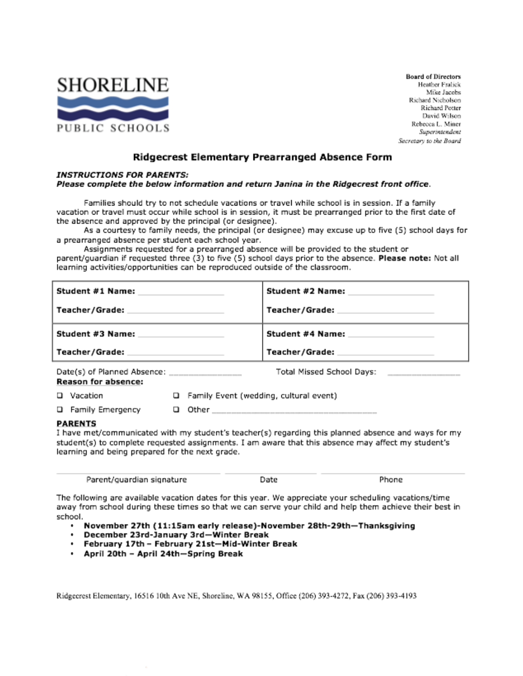

**Board of Directors** Heather Fralick Mike Jacobs Richard Nicholson Richard Potter David Wilson Rebecca L. Miner Superintendent Secretary to the Board

#### Ridgecrest Elementary Prearranged Absence Form

#### **INSTRUCTIONS FOR PARENTS:**

#### Please complete the below information and return Janina in the Ridgecrest front office.

Families should try to not schedule vacations or travel while school is in session. If a family vacation or travel must occur while school is in session, it must be prearranged prior to the first date of the absence and approved by the principal (or designee).

As a courtesy to family needs, the principal (or designee) may excuse up to five (5) school days for a prearranged absence per student each school year.

Assignments requested for a prearranged absence will be provided to the student or parent/guardian if requested three (3) to five (5) school days prior to the absence. Please note: Not all learning activities/opportunities can be reproduced outside of the classroom.

| Student #1 Name:                                                | Student #2 Name:                         |  |
|-----------------------------------------------------------------|------------------------------------------|--|
| Teacher/Grade:                                                  | Teacher/Grade: ____                      |  |
| Student #3 Name:                                                | Student #4 Name:                         |  |
| Teacher/Grade:                                                  | Teacher/Grade: _______                   |  |
| Date(s) of Planned Absence: ____________<br>Reason for absence: | Total Missed School Days:                |  |
| Vacation                                                        | □ Family Event (wedding, cultural event) |  |

**Q** Family Emergency  $\Box$  Other  $\Box$ 

#### **PARENTS**

I have met/communicated with my student's teacher(s) regarding this planned absence and ways for my student(s) to complete requested assignments. I am aware that this absence may affect my student's learning and being prepared for the next grade.

| Parent/quardian signature | Date | Phone |
|---------------------------|------|-------|
|                           |      |       |

The following are available vacation dates for this year. We appreciate your scheduling vacations/time away from school during these times so that we can serve your child and help them achieve their best in school.

- . November 27th (11:15am early release)-November 28th-29th-Thanksgiving
- · December 23rd-January 3rd-Winter Break
- . February 17th February 21st-Mid-Winter Break
- · April 20th April 24th-Spring Break

Ridgecrest Elementary, 16516 10th Ave NE, Shoreline, WA 98155, Office (206) 393-4272, Fax (206) 393-4193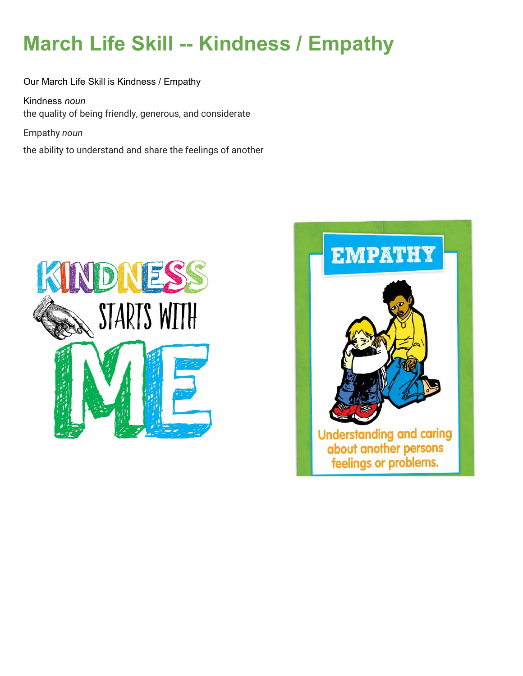# **March Life Skill -- Kindness / Empathy**

Our March Life Skill is Kindness / Empathy

Kindness *noun* the quality of being friendly, generous, and considerate

Empathy *noun*

the ability to understand and share the feelings of another



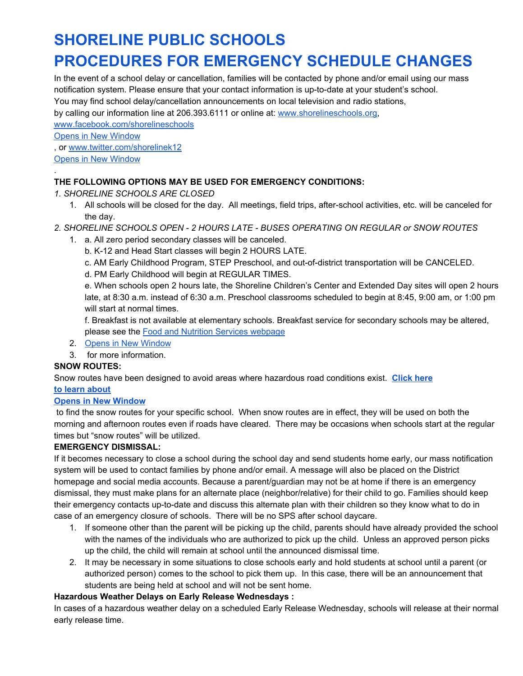### **SHORELINE PUBLIC SCHOOLS PROCEDURES FOR EMERGENCY SCHEDULE CHANGES**

In the event of a school delay or cancellation, families will be contacted by phone and/or email using our mass notification system. Please ensure that your contact information is up-to-date at your student's school.

You may find school delay/cancellation announcements on local television and radio stations,

by calling our information line at 206.393.6111 or online at: [www.shorelineschools.org,](https://www.shorelineschools.org/)

[www.facebook.com/shorelineschools](http://www.facebook.com/shorelineschools) Opens in New [Window](http://www.facebook.com/shorelineschools)

, or [www.twitter.com/shorelinek12](http://www.twitter.com/shorelinek12)

Opens in New [Window](http://www.twitter.com/shorelinek12)

.

#### **THE FOLLOWING OPTIONS MAY BE USED FOR EMERGENCY CONDITIONS:**

*1. SHORELINE SCHOOLS ARE CLOSED*

- 1. All schools will be closed for the day. All meetings, field trips, after-school activities, etc. will be canceled for the day.
- *2. SHORELINE SCHOOLS OPEN - 2 HOURS LATE - BUSES OPERATING ON REGULAR or SNOW ROUTES*
	- 1. a. All zero period secondary classes will be canceled.
		- b. K-12 and Head Start classes will begin 2 HOURS LATE.
		- c. AM Early Childhood Program, STEP Preschool, and out-of-district transportation will be CANCELED.
		- d. PM Early Childhood will begin at REGULAR TIMES.

e. When schools open 2 hours late, the Shoreline Children's Center and Extended Day sites will open 2 hours late, at 8:30 a.m. instead of 6:30 a.m. Preschool classrooms scheduled to begin at 8:45, 9:00 am, or 1:00 pm will start at normal times.

f. Breakfast is not available at elementary schools. Breakfast service for secondary schools may be altered, please see the Food and Nutrition Services [webpage](https://www.shorelineschools.org/Domain/89)

- 2. Opens in New [Window](https://www.shorelineschools.org/Domain/89)
- 3. for more information.

#### **SNOW ROUTES:**

Snow routes have been designed to avoid areas where hazardous road conditions exist. **[Click](https://www.shorelineschools.org/Page/1371) here**

#### **to learn [about](https://www.shorelineschools.org/Page/1371)**

#### **Opens in New [Window](https://www.shorelineschools.org/Page/1371)**

to find the snow routes for your specific school. When snow routes are in effect, they will be used on both the morning and afternoon routes even if roads have cleared. There may be occasions when schools start at the regular times but "snow routes" will be utilized.

#### **EMERGENCY DISMISSAL:**

If it becomes necessary to close a school during the school day and send students home early, our mass notification system will be used to contact families by phone and/or email. A message will also be placed on the District homepage and social media accounts. Because a parent/guardian may not be at home if there is an emergency dismissal, they must make plans for an alternate place (neighbor/relative) for their child to go. Families should keep their emergency contacts up-to-date and discuss this alternate plan with their children so they know what to do in case of an emergency closure of schools. There will be no SPS after school daycare.

- 1. If someone other than the parent will be picking up the child, parents should have already provided the school with the names of the individuals who are authorized to pick up the child. Unless an approved person picks up the child, the child will remain at school until the announced dismissal time.
- 2. It may be necessary in some situations to close schools early and hold students at school until a parent (or authorized person) comes to the school to pick them up. In this case, there will be an announcement that students are being held at school and will not be sent home.

#### **Hazardous Weather Delays on Early Release Wednesdays :**

In cases of a hazardous weather delay on a scheduled Early Release Wednesday, schools will release at their normal early release time.